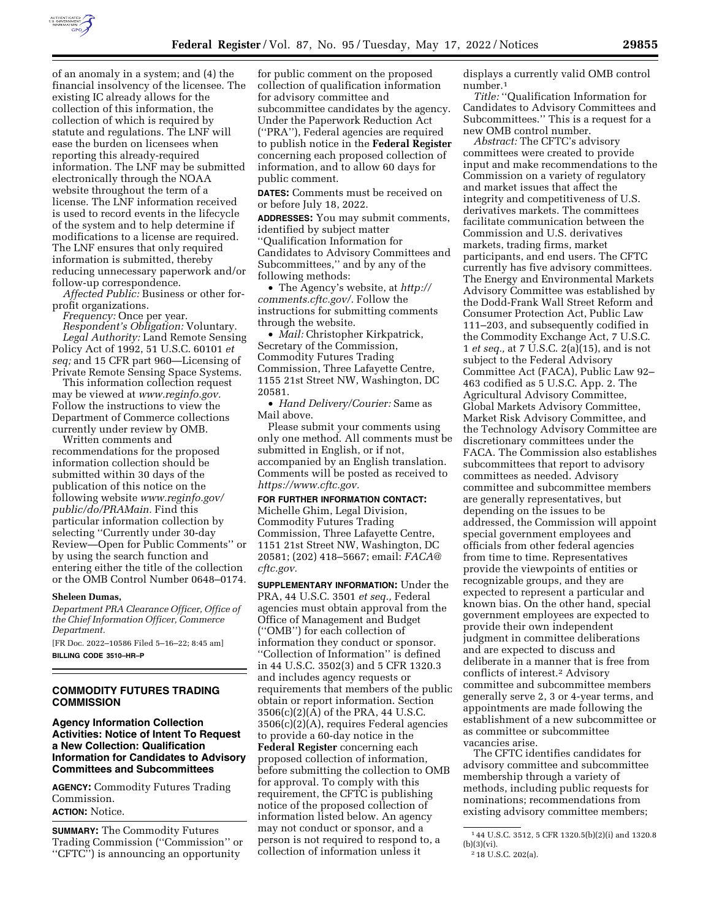

of an anomaly in a system; and (4) the financial insolvency of the licensee. The existing IC already allows for the collection of this information, the collection of which is required by statute and regulations. The LNF will ease the burden on licensees when reporting this already-required information. The LNF may be submitted electronically through the NOAA website throughout the term of a license. The LNF information received is used to record events in the lifecycle of the system and to help determine if modifications to a license are required. The LNF ensures that only required information is submitted, thereby reducing unnecessary paperwork and/or follow-up correspondence.

*Affected Public:* Business or other forprofit organizations.

*Frequency:* Once per year. *Respondent's Obligation:* Voluntary. *Legal Authority:* Land Remote Sensing Policy Act of 1992, 51 U.S.C. 60101 *et seq;* and 15 CFR part 960—Licensing of Private Remote Sensing Space Systems.

This information collection request may be viewed at *[www.reginfo.gov.](http://www.reginfo.gov)*  Follow the instructions to view the Department of Commerce collections currently under review by OMB.

Written comments and recommendations for the proposed information collection should be submitted within 30 days of the publication of this notice on the following website *[www.reginfo.gov/](http://www.reginfo.gov/public/do/PRAMain)  [public/do/PRAMain.](http://www.reginfo.gov/public/do/PRAMain)* Find this particular information collection by selecting ''Currently under 30-day Review—Open for Public Comments'' or by using the search function and entering either the title of the collection or the OMB Control Number 0648–0174.

#### **Sheleen Dumas,**

*Department PRA Clearance Officer, Office of the Chief Information Officer, Commerce Department.* 

[FR Doc. 2022–10586 Filed 5–16–22; 8:45 am] **BILLING CODE 3510–HR–P** 

# **COMMODITY FUTURES TRADING COMMISSION**

# **Agency Information Collection Activities: Notice of Intent To Request a New Collection: Qualification Information for Candidates to Advisory Committees and Subcommittees**

**AGENCY:** Commodity Futures Trading Commission.

**ACTION:** Notice.

**SUMMARY:** The Commodity Futures Trading Commission (''Commission'' or ''CFTC'') is announcing an opportunity

for public comment on the proposed collection of qualification information for advisory committee and subcommittee candidates by the agency. Under the Paperwork Reduction Act (''PRA''), Federal agencies are required to publish notice in the **Federal Register**  concerning each proposed collection of information, and to allow 60 days for public comment.

**DATES:** Comments must be received on or before July 18, 2022.

**ADDRESSES:** You may submit comments, identified by subject matter ''Qualification Information for Candidates to Advisory Committees and Subcommittees,'' and by any of the following methods:

• The Agency's website, at *[http://](http://comments.cftc.gov/) [comments.cftc.gov/.](http://comments.cftc.gov/)* Follow the instructions for submitting comments through the website.

• *Mail:* Christopher Kirkpatrick, Secretary of the Commission, Commodity Futures Trading Commission, Three Lafayette Centre, 1155 21st Street NW, Washington, DC 20581.

• *Hand Delivery/Courier:* Same as Mail above.

Please submit your comments using only one method. All comments must be submitted in English, or if not, accompanied by an English translation. Comments will be posted as received to *[https://www.cftc.gov.](https://www.cftc.gov)* 

**FOR FURTHER INFORMATION CONTACT:**  Michelle Ghim, Legal Division, Commodity Futures Trading Commission, Three Lafayette Centre, 1151 21st Street NW, Washington, DC 20581; (202) 418–5667; email: *[FACA@](mailto:FACA@cftc.gov) [cftc.gov.](mailto:FACA@cftc.gov)* 

**SUPPLEMENTARY INFORMATION:** Under the PRA, 44 U.S.C. 3501 *et seq.,* Federal agencies must obtain approval from the Office of Management and Budget (''OMB'') for each collection of information they conduct or sponsor. ''Collection of Information'' is defined in 44 U.S.C. 3502(3) and 5 CFR 1320.3 and includes agency requests or requirements that members of the public obtain or report information. Section 3506(c)(2)(A) of the PRA, 44 U.S.C. 3506(c)(2)(A), requires Federal agencies to provide a 60-day notice in the **Federal Register** concerning each proposed collection of information, before submitting the collection to OMB for approval. To comply with this requirement, the CFTC is publishing notice of the proposed collection of information listed below. An agency may not conduct or sponsor, and a person is not required to respond to, a collection of information unless it

displays a currently valid OMB control number.1

*Title:* ''Qualification Information for Candidates to Advisory Committees and Subcommittees.'' This is a request for a new OMB control number.

*Abstract:* The CFTC's advisory committees were created to provide input and make recommendations to the Commission on a variety of regulatory and market issues that affect the integrity and competitiveness of U.S. derivatives markets. The committees facilitate communication between the Commission and U.S. derivatives markets, trading firms, market participants, and end users. The CFTC currently has five advisory committees. The Energy and Environmental Markets Advisory Committee was established by the Dodd-Frank Wall Street Reform and Consumer Protection Act, Public Law 111–203, and subsequently codified in the Commodity Exchange Act, 7 U.S.C. 1 *et seq.,* at 7 U.S.C. 2(a)(15), and is not subject to the Federal Advisory Committee Act (FACA), Public Law 92– 463 codified as 5 U.S.C. App. 2. The Agricultural Advisory Committee, Global Markets Advisory Committee, Market Risk Advisory Committee, and the Technology Advisory Committee are discretionary committees under the FACA. The Commission also establishes subcommittees that report to advisory committees as needed. Advisory committee and subcommittee members are generally representatives, but depending on the issues to be addressed, the Commission will appoint special government employees and officials from other federal agencies from time to time. Representatives provide the viewpoints of entities or recognizable groups, and they are expected to represent a particular and known bias. On the other hand, special government employees are expected to provide their own independent judgment in committee deliberations and are expected to discuss and deliberate in a manner that is free from conflicts of interest.2 Advisory committee and subcommittee members generally serve 2, 3 or 4-year terms, and appointments are made following the establishment of a new subcommittee or as committee or subcommittee vacancies arise.

The CFTC identifies candidates for advisory committee and subcommittee membership through a variety of methods, including public requests for nominations; recommendations from existing advisory committee members;

<sup>1</sup> 44 U.S.C. 3512, 5 CFR 1320.5(b)(2)(i) and 1320.8  $(b)(3)(vi)$ .

<sup>2</sup> 18 U.S.C. 202(a).